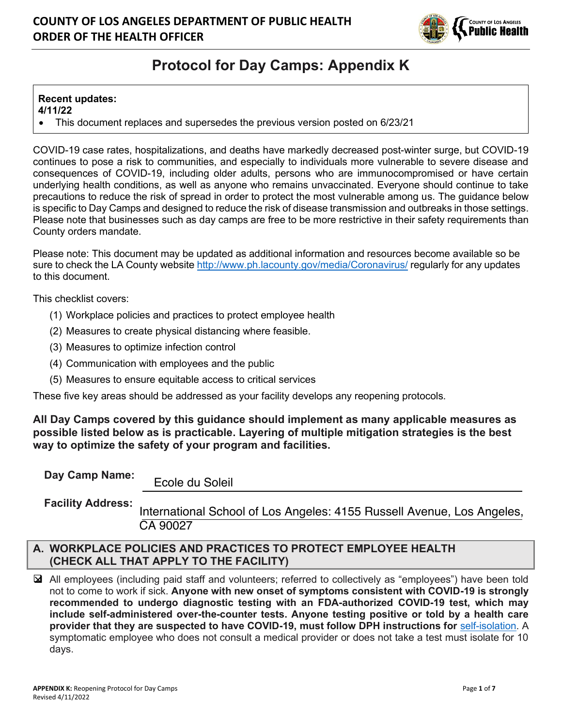

# **Protocol for Day Camps: Appendix K**

# **Recent updates:**

**4/11/22**

• This document replaces and supersedes the previous version posted on 6/23/21

COVID-19 case rates, hospitalizations, and deaths have markedly decreased post-winter surge, but COVID-19 continues to pose a risk to communities, and especially to individuals more vulnerable to severe disease and consequences of COVID-19, including older adults, persons who are immunocompromised or have certain underlying health conditions, as well as anyone who remains unvaccinated. Everyone should continue to take precautions to reduce the risk of spread in order to protect the most vulnerable among us. The guidance below is specific to Day Camps and designed to reduce the risk of disease transmission and outbreaks in those settings. Please note that businesses such as day camps are free to be more restrictive in their safety requirements than County orders mandate.

Please note: This document may be updated as additional information and resources become available so be sure to check the LA County website http://www.ph.lacounty.gov/media/Coronavirus/ regularly for any updates to this document.

This checklist covers:

- (1) Workplace policies and practices to protect employee health
- (2) Measures to create physical distancing where feasible.
- (3) Measures to optimize infection control
- (4) Communication with employees and the public
- (5) Measures to ensure equitable access to critical services

These five key areas should be addressed as your facility develops any reopening protocols.

**All Day Camps covered by this guidance should implement as many applicable measures as possible listed below as is practicable. Layering of multiple mitigation strategies is the best way to optimize the safety of your program and facilities.**

**Day Camp Name:**

Ecole du Soleil

**Facility Address:** International School of Los Angeles: 4155 Russell Avenue, Los Angeles, CA 90027

#### **A. WORKPLACE POLICIES AND PRACTICES TO PROTECT EMPLOYEE HEALTH (CHECK ALL THAT APPLY TO THE FACILITY)**

❑ All employees (including paid staff and volunteers; referred to collectively as "employees") have been told not to come to work if sick. **Anyone with new onset of symptoms consistent with COVID-19 is strongly recommended to undergo diagnostic testing with an FDA-authorized COVID-19 test, which may include self-administered over-the-counter tests. Anyone testing positive or told by a health care provider that they are suspected to have COVID-19, must follow DPH instructions for** self-isolation. A symptomatic employee who does not consult a medical provider or does not take a test must isolate for 10 days.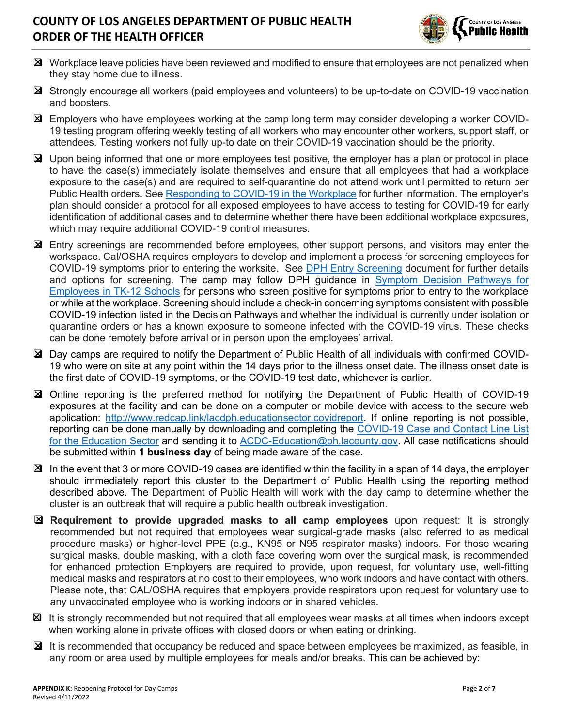

- ❑ Workplace leave policies have been reviewed and modified to ensure that employees are not penalized when they stay home due to illness.
- ❑ Strongly encourage all workers (paid employees and volunteers) to be up-to-date on COVID-19 vaccination and boosters.
- ❑ Employers who have employees working at the camp long term may consider developing a worker COVID-19 testing program offering weekly testing of all workers who may encounter other workers, support staff, or attendees. Testing workers not fully up-to date on their COVID-19 vaccination should be the priority.
- ❑ Upon being informed that one or more employees test positive, the employer has a plan or protocol in place to have the case(s) immediately isolate themselves and ensure that all employees that had a workplace exposure to the case(s) and are required to self-quarantine do not attend work until permitted to return per Public Health orders. See Responding to COVID-19 in the Workplace for further information. The employer's plan should consider a protocol for all exposed employees to have access to testing for COVID-19 for early identification of additional cases and to determine whether there have been additional workplace exposures, which may require additional COVID-19 control measures.
- ❑ Entry screenings are recommended before employees, other support persons, and visitors may enter the workspace. Cal/OSHA requires employers to develop and implement a process for screening employees for COVID-19 symptoms prior to entering the worksite. See DPH Entry Screening document for further details and options for screening. The camp may follow DPH guidance in Symptom Decision Pathways for Employees in TK-12 Schools for persons who screen positive for symptoms prior to entry to the workplace or while at the workplace. Screening should include a check-in concerning symptoms consistent with possible COVID-19 infection listed in the Decision Pathways and whether the individual is currently under isolation or quarantine orders or has a known exposure to someone infected with the COVID-19 virus. These checks can be done remotely before arrival or in person upon the employees' arrival.
- ❑ Day camps are required to notify the Department of Public Health of all individuals with confirmed COVID-19 who were on site at any point within the 14 days prior to the illness onset date. The illness onset date is the first date of COVID-19 symptoms, or the COVID-19 test date, whichever is earlier.
- ❑ Online reporting is the preferred method for notifying the Department of Public Health of COVID-19 exposures at the facility and can be done on a computer or mobile device with access to the secure web application: http://www.redcap.link/lacdph.educationsector.covidreport. If online reporting is not possible, reporting can be done manually by downloading and completing the COVID-19 Case and Contact Line List for the Education Sector and sending it to ACDC-Education@ph.lacounty.gov. All case notifications should be submitted within **1 business day** of being made aware of the case.
- $\boxtimes$  In the event that 3 or more COVID-19 cases are identified within the facility in a span of 14 days, the employer should immediately report this cluster to the Department of Public Health using the reporting method described above. The Department of Public Health will work with the day camp to determine whether the cluster is an outbreak that will require a public health outbreak investigation.
- ❑ **Requirement to provide upgraded masks to all camp employees** upon request: It is strongly recommended but not required that employees wear surgical-grade masks (also referred to as medical procedure masks) or higher-level PPE (e.g., KN95 or N95 respirator masks) indoors. For those wearing surgical masks, double masking, with a cloth face covering worn over the surgical mask, is recommended for enhanced protection Employers are required to provide, upon request, for voluntary use, well-fitting medical masks and respirators at no cost to their employees, who work indoors and have contact with others. Please note, that CAL/OSHA requires that employers provide respirators upon request for voluntary use to any unvaccinated employee who is working indoors or in shared vehicles.
- ❑ It is strongly recommended but not required that all employees wear masks at all times when indoors except when working alone in private offices with closed doors or when eating or drinking.
- ❑ It is recommended that occupancy be reduced and space between employees be maximized, as feasible, in any room or area used by multiple employees for meals and/or breaks. This can be achieved by: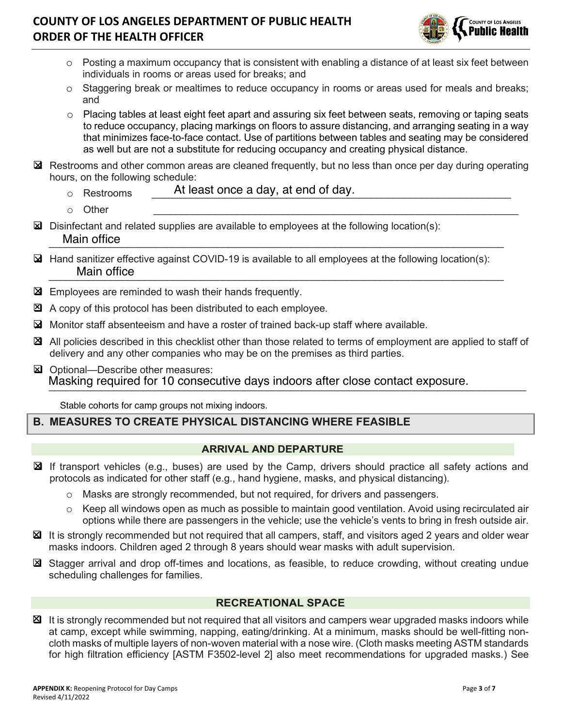

- o Posting a maximum occupancy that is consistent with enabling a distance of at least six feet between individuals in rooms or areas used for breaks; and
- o Staggering break or mealtimes to reduce occupancy in rooms or areas used for meals and breaks; and
- o Placing tables at least eight feet apart and assuring six feet between seats, removing or taping seats to reduce occupancy, placing markings on floors to assure distancing, and arranging seating in a way that minimizes face-to-face contact. Use of partitions between tables and seating may be considered as well but are not a substitute for reducing occupancy and creating physical distance.
- ❑ Restrooms and other common areas are cleaned frequently, but no less than once per day during operating hours, on the following schedule:
	- o Restrooms **\_\_\_\_\_\_\_At least once a day, at end of day.**
	- o Other \_\_\_\_\_\_\_\_\_\_\_\_\_\_\_\_\_\_\_\_\_\_\_\_\_\_\_\_\_\_\_\_\_\_\_\_\_\_\_\_\_\_\_\_\_\_\_\_\_\_\_\_\_\_\_\_\_\_\_\_\_\_\_\_\_
- ❑ Disinfectant and related supplies are available to employees at the following location(s):  $M$ an onice Main office
- $\Delta$  Hand sanitizer effective against COVID-19 is available to all employees at the following location(s):  $\blacksquare$  Iviain onice Main office
- ❑ Employees are reminded to wash their hands frequently.
- $\mathbb{Z}$  A copy of this protocol has been distributed to each employee.
- ❑ Monitor staff absenteeism and have a roster of trained back-up staff where available.
- ❑ All policies described in this checklist other than those related to terms of employment are applied to staff of delivery and any other companies who may be on the premises as third parties.
- ❑ Optional—Describe other measures: Masking required for 10 consecutive days indoors after close contact exposure.

Stable cohorts for camp groups not mixing indoors.

### **B. MEASURES TO CREATE PHYSICAL DISTANCING WHERE FEASIBLE**

### **ARRIVAL AND DEPARTURE**

- ❑ If transport vehicles (e.g., buses) are used by the Camp, drivers should practice all safety actions and protocols as indicated for other staff (e.g., hand hygiene, masks, and physical distancing).
	- o Masks are strongly recommended, but not required, for drivers and passengers.
	- o Keep all windows open as much as possible to maintain good ventilation. Avoid using recirculated air options while there are passengers in the vehicle; use the vehicle's vents to bring in fresh outside air.
- ❑ It is strongly recommended but not required that all campers, staff, and visitors aged 2 years and older wear masks indoors. Children aged 2 through 8 years should wear masks with adult supervision.
- ❑ Stagger arrival and drop off-times and locations, as feasible, to reduce crowding, without creating undue scheduling challenges for families.

### **RECREATIONAL SPACE**

❑ It is strongly recommended but not required that all visitors and campers wear upgraded masks indoors while at camp, except while swimming, napping, eating/drinking. At a minimum, masks should be well-fitting noncloth masks of multiple layers of non-woven material with a nose wire. (Cloth masks meeting ASTM standards for high filtration efficiency [ASTM F3502-level 2] also meet recommendations for upgraded masks.) See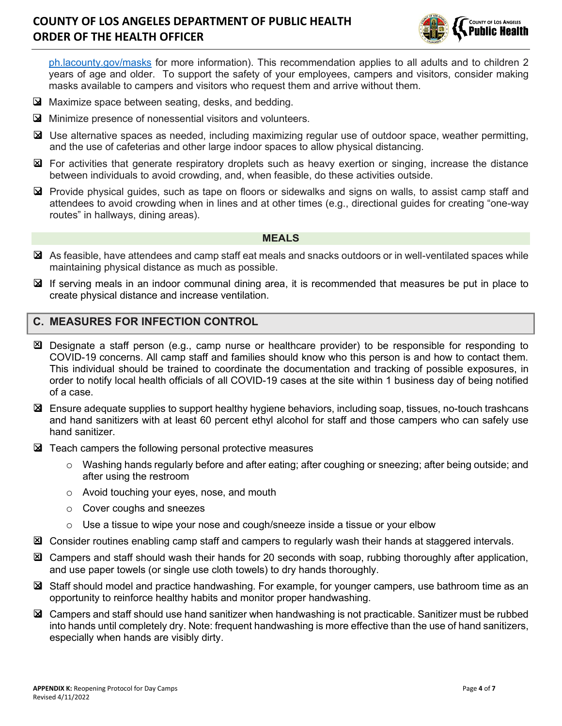

ph.lacounty.gov/masks for more information). This recommendation applies to all adults and to children 2 years of age and older. To support the safety of your employees, campers and visitors, consider making masks available to campers and visitors who request them and arrive without them.

- ❑ Maximize space between seating, desks, and bedding.
- ❑ Minimize presence of nonessential visitors and volunteers.
- ❑ Use alternative spaces as needed, including maximizing regular use of outdoor space, weather permitting, and the use of cafeterias and other large indoor spaces to allow physical distancing.
- ❑ For activities that generate respiratory droplets such as heavy exertion or singing, increase the distance between individuals to avoid crowding, and, when feasible, do these activities outside.
- ❑ Provide physical guides, such as tape on floors or sidewalks and signs on walls, to assist camp staff and attendees to avoid crowding when in lines and at other times (e.g., directional guides for creating "one-way routes" in hallways, dining areas).

#### **MEALS**

- ❑ As feasible, have attendees and camp staff eat meals and snacks outdoors or in well-ventilated spaces while maintaining physical distance as much as possible.
- ❑ If serving meals in an indoor communal dining area, it is recommended that measures be put in place to create physical distance and increase ventilation.

#### **C. MEASURES FOR INFECTION CONTROL**

- ❑ Designate a staff person (e.g., camp nurse or healthcare provider) to be responsible for responding to COVID-19 concerns. All camp staff and families should know who this person is and how to contact them. This individual should be trained to coordinate the documentation and tracking of possible exposures, in order to notify local health officials of all COVID-19 cases at the site within 1 business day of being notified of a case.
- ❑ Ensure adequate supplies to support healthy hygiene behaviors, including soap, tissues, no-touch trashcans and hand sanitizers with at least 60 percent ethyl alcohol for staff and those campers who can safely use hand sanitizer.
- ❑ Teach campers the following personal protective measures
	- o Washing hands regularly before and after eating; after coughing or sneezing; after being outside; and after using the restroom
	- o Avoid touching your eyes, nose, and mouth
	- o Cover coughs and sneezes
	- $\circ$  Use a tissue to wipe your nose and cough/sneeze inside a tissue or your elbow
- ❑ Consider routines enabling camp staff and campers to regularly wash their hands at staggered intervals.
- ❑ Campers and staff should wash their hands for 20 seconds with soap, rubbing thoroughly after application, and use paper towels (or single use cloth towels) to dry hands thoroughly.
- ❑ Staff should model and practice handwashing. For example, for younger campers, use bathroom time as an opportunity to reinforce healthy habits and monitor proper handwashing.
- ❑ Campers and staff should use hand sanitizer when handwashing is not practicable. Sanitizer must be rubbed into hands until completely dry. Note: frequent handwashing is more effective than the use of hand sanitizers, especially when hands are visibly dirty.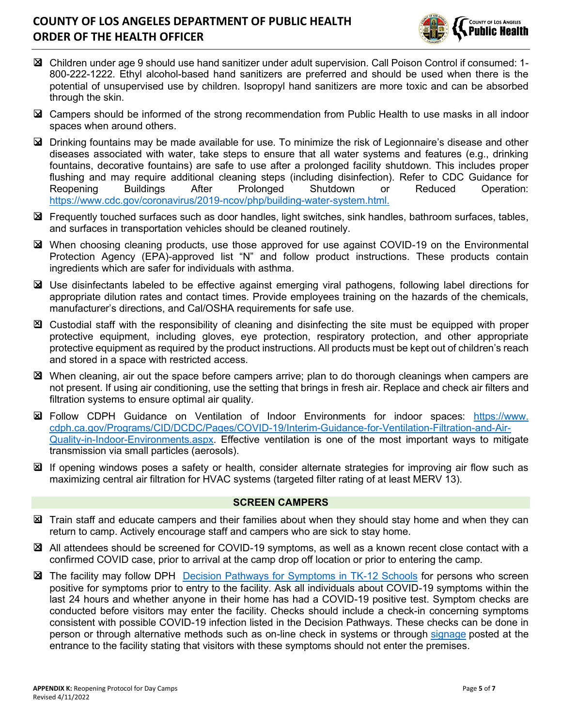

- ❑ Children under age 9 should use hand sanitizer under adult supervision. Call Poison Control if consumed: 1- 800-222-1222. Ethyl alcohol-based hand sanitizers are preferred and should be used when there is the potential of unsupervised use by children. Isopropyl hand sanitizers are more toxic and can be absorbed through the skin.
- ❑ Campers should be informed of the strong recommendation from Public Health to use masks in all indoor spaces when around others.
- ❑ Drinking fountains may be made available for use. To minimize the risk of Legionnaire's disease and other diseases associated with water, take steps to ensure that all water systems and features (e.g., drinking fountains, decorative fountains) are safe to use after a prolonged facility shutdown. This includes proper flushing and may require additional cleaning steps (including disinfection). Refer to CDC Guidance for Reopening Buildings After Prolonged Shutdown or Reduced Operation: https://www.cdc.gov/coronavirus/2019-ncov/php/building-water-system.html.
- ❑ Frequently touched surfaces such as door handles, light switches, sink handles, bathroom surfaces, tables, and surfaces in transportation vehicles should be cleaned routinely.
- ❑ When choosing cleaning products, use those approved for use against COVID-19 on the Environmental Protection Agency (EPA)-approved list "N" and follow product instructions. These products contain ingredients which are safer for individuals with asthma.
- ❑ Use disinfectants labeled to be effective against emerging viral pathogens, following label directions for appropriate dilution rates and contact times. Provide employees training on the hazards of the chemicals, manufacturer's directions, and Cal/OSHA requirements for safe use.
- ❑ Custodial staff with the responsibility of cleaning and disinfecting the site must be equipped with proper protective equipment, including gloves, eye protection, respiratory protection, and other appropriate protective equipment as required by the product instructions. All products must be kept out of children's reach and stored in a space with restricted access.
- ❑ When cleaning, air out the space before campers arrive; plan to do thorough cleanings when campers are not present. If using air conditioning, use the setting that brings in fresh air. Replace and check air filters and filtration systems to ensure optimal air quality.
- ❑ Follow CDPH Guidance on Ventilation of Indoor Environments for indoor spaces: https://www. cdph.ca.gov/Programs/CID/DCDC/Pages/COVID-19/Interim-Guidance-for-Ventilation-Filtration-and-Air-Quality-in-Indoor-Environments.aspx. Effective ventilation is one of the most important ways to mitigate transmission via small particles (aerosols).
- ❑ If opening windows poses a safety or health, consider alternate strategies for improving air flow such as maximizing central air filtration for HVAC systems (targeted filter rating of at least MERV 13).

#### **SCREEN CAMPERS**

- ❑ Train staff and educate campers and their families about when they should stay home and when they can return to camp. Actively encourage staff and campers who are sick to stay home.
- ❑ All attendees should be screened for COVID-19 symptoms, as well as a known recent close contact with a confirmed COVID case, prior to arrival at the camp drop off location or prior to entering the camp.
- ❑ The facility may follow DPH Decision Pathways for Symptoms in TK-12 Schools for persons who screen positive for symptoms prior to entry to the facility. Ask all individuals about COVID-19 symptoms within the last 24 hours and whether anyone in their home has had a COVID-19 positive test. Symptom checks are conducted before visitors may enter the facility. Checks should include a check-in concerning symptoms consistent with possible COVID-19 infection listed in the Decision Pathways. These checks can be done in person or through alternative methods such as on-line check in systems or through signage posted at the entrance to the facility stating that visitors with these symptoms should not enter the premises.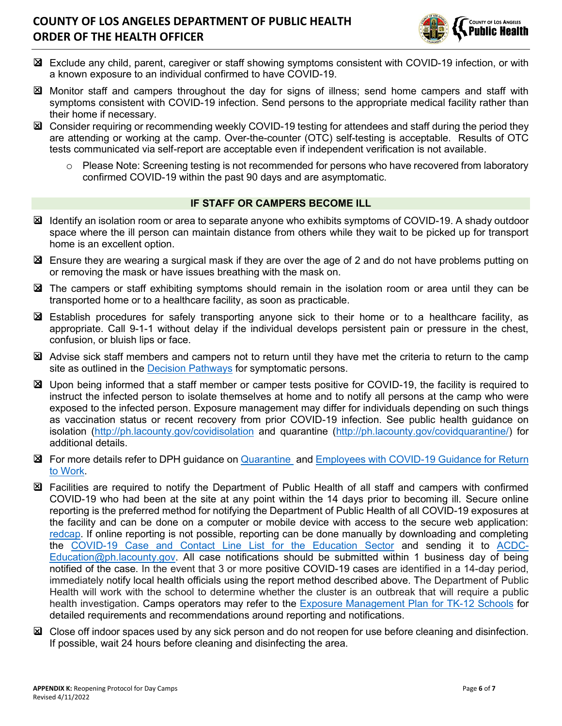

- ❑ Exclude any child, parent, caregiver or staff showing symptoms consistent with COVID-19 infection, or with a known exposure to an individual confirmed to have COVID-19.
- ❑ Monitor staff and campers throughout the day for signs of illness; send home campers and staff with symptoms consistent with COVID-19 infection. Send persons to the appropriate medical facility rather than their home if necessary.
- ❑ Consider requiring or recommending weekly COVID-19 testing for attendees and staff during the period they are attending or working at the camp. Over-the-counter (OTC) self-testing is acceptable. Results of OTC tests communicated via self-report are acceptable even if independent verification is not available.
	- o Please Note: Screening testing is not recommended for persons who have recovered from laboratory confirmed COVID-19 within the past 90 days and are asymptomatic.

#### **IF STAFF OR CAMPERS BECOME ILL**

- ❑ Identify an isolation room or area to separate anyone who exhibits symptoms of COVID-19. A shady outdoor space where the ill person can maintain distance from others while they wait to be picked up for transport home is an excellent option.
- ❑ Ensure they are wearing a surgical mask if they are over the age of 2 and do not have problems putting on or removing the mask or have issues breathing with the mask on.
- ❑ The campers or staff exhibiting symptoms should remain in the isolation room or area until they can be transported home or to a healthcare facility, as soon as practicable.
- ❑ Establish procedures for safely transporting anyone sick to their home or to a healthcare facility, as appropriate. Call 9-1-1 without delay if the individual develops persistent pain or pressure in the chest, confusion, or bluish lips or face.
- ❑ Advise sick staff members and campers not to return until they have met the criteria to return to the camp site as outlined in the Decision Pathways for symptomatic persons.
- ❑ Upon being informed that a staff member or camper tests positive for COVID-19, the facility is required to instruct the infected person to isolate themselves at home and to notify all persons at the camp who were exposed to the infected person. Exposure management may differ for individuals depending on such things as vaccination status or recent recovery from prior COVID-19 infection. See public health guidance on isolation (http://ph.lacounty.gov/covidisolation and quarantine (http://ph.lacounty.gov/covidquarantine/) for additional details.
- ❑ For more details refer to DPH guidance on Quarantine and Employees with COVID-19 Guidance for Return to Work.
- ❑ Facilities are required to notify the Department of Public Health of all staff and campers with confirmed COVID-19 who had been at the site at any point within the 14 days prior to becoming ill. Secure online reporting is the preferred method for notifying the Department of Public Health of all COVID-19 exposures at the facility and can be done on a computer or mobile device with access to the secure web application: redcap. If online reporting is not possible, reporting can be done manually by downloading and completing the COVID-19 Case and Contact Line List for the Education Sector and sending it to ACDC-Education@ph.lacounty.gov. All case notifications should be submitted within 1 business day of being notified of the case. In the event that 3 or more positive COVID-19 cases are identified in a 14-day period, immediately notify local health officials using the report method described above. The Department of Public Health will work with the school to determine whether the cluster is an outbreak that will require a public health investigation. Camps operators may refer to the Exposure Management Plan for TK-12 Schools for detailed requirements and recommendations around reporting and notifications.
- ❑ Close off indoor spaces used by any sick person and do not reopen for use before cleaning and disinfection. If possible, wait 24 hours before cleaning and disinfecting the area.